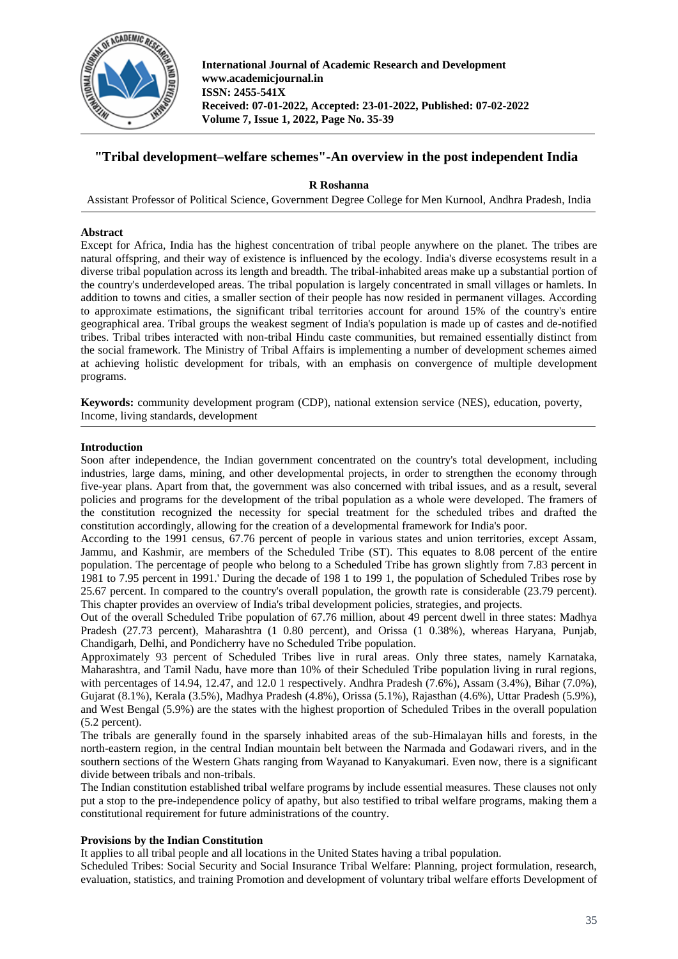

**International Journal of Academic Research and Development www.academicjournal.in ISSN: 2455-541X Received: 07-01-2022, Accepted: 23-01-2022, Published: 07-02-2022 Volume 7, Issue 1, 2022, Page No. 35-39**

# **"Tribal development–welfare schemes"-An overview in the post independent India**

### **R Roshanna**

Assistant Professor of Political Science, Government Degree College for Men Kurnool, Andhra Pradesh, India

#### **Abstract**

Except for Africa, India has the highest concentration of tribal people anywhere on the planet. The tribes are natural offspring, and their way of existence is influenced by the ecology. India's diverse ecosystems result in a diverse tribal population across its length and breadth. The tribal-inhabited areas make up a substantial portion of the country's underdeveloped areas. The tribal population is largely concentrated in small villages or hamlets. In addition to towns and cities, a smaller section of their people has now resided in permanent villages. According to approximate estimations, the significant tribal territories account for around 15% of the country's entire geographical area. Tribal groups the weakest segment of India's population is made up of castes and de-notified tribes. Tribal tribes interacted with non-tribal Hindu caste communities, but remained essentially distinct from the social framework. The Ministry of Tribal Affairs is implementing a number of development schemes aimed at achieving holistic development for tribals, with an emphasis on convergence of multiple development programs.

**Keywords:** community development program (CDP), national extension service (NES), education, poverty, Income, living standards, development

#### **Introduction**

Soon after independence, the Indian government concentrated on the country's total development, including industries, large dams, mining, and other developmental projects, in order to strengthen the economy through five-year plans. Apart from that, the government was also concerned with tribal issues, and as a result, several policies and programs for the development of the tribal population as a whole were developed. The framers of the constitution recognized the necessity for special treatment for the scheduled tribes and drafted the constitution accordingly, allowing for the creation of a developmental framework for India's poor.

According to the 1991 census, 67.76 percent of people in various states and union territories, except Assam, Jammu, and Kashmir, are members of the Scheduled Tribe (ST). This equates to 8.08 percent of the entire population. The percentage of people who belong to a Scheduled Tribe has grown slightly from 7.83 percent in 1981 to 7.95 percent in 1991.' During the decade of 198 1 to 199 1, the population of Scheduled Tribes rose by 25.67 percent. In compared to the country's overall population, the growth rate is considerable (23.79 percent). This chapter provides an overview of India's tribal development policies, strategies, and projects.

Out of the overall Scheduled Tribe population of 67.76 million, about 49 percent dwell in three states: Madhya Pradesh (27.73 percent), Maharashtra (1 0.80 percent), and Orissa (1 0.38%), whereas Haryana, Punjab, Chandigarh, Delhi, and Pondicherry have no Scheduled Tribe population.

Approximately 93 percent of Scheduled Tribes live in rural areas. Only three states, namely Karnataka, Maharashtra, and Tamil Nadu, have more than 10% of their Scheduled Tribe population living in rural regions, with percentages of 14.94, 12.47, and 12.0 1 respectively. Andhra Pradesh (7.6%), Assam (3.4%), Bihar (7.0%), Gujarat (8.1%), Kerala (3.5%), Madhya Pradesh (4.8%), Orissa (5.1%), Rajasthan (4.6%), Uttar Pradesh (5.9%), and West Bengal (5.9%) are the states with the highest proportion of Scheduled Tribes in the overall population (5.2 percent).

The tribals are generally found in the sparsely inhabited areas of the sub-Himalayan hills and forests, in the north-eastern region, in the central Indian mountain belt between the Narmada and Godawari rivers, and in the southern sections of the Western Ghats ranging from Wayanad to Kanyakumari. Even now, there is a significant divide between tribals and non-tribals.

The Indian constitution established tribal welfare programs by include essential measures. These clauses not only put a stop to the pre-independence policy of apathy, but also testified to tribal welfare programs, making them a constitutional requirement for future administrations of the country.

### **Provisions by the Indian Constitution**

It applies to all tribal people and all locations in the United States having a tribal population.

Scheduled Tribes: Social Security and Social Insurance Tribal Welfare: Planning, project formulation, research, evaluation, statistics, and training Promotion and development of voluntary tribal welfare efforts Development of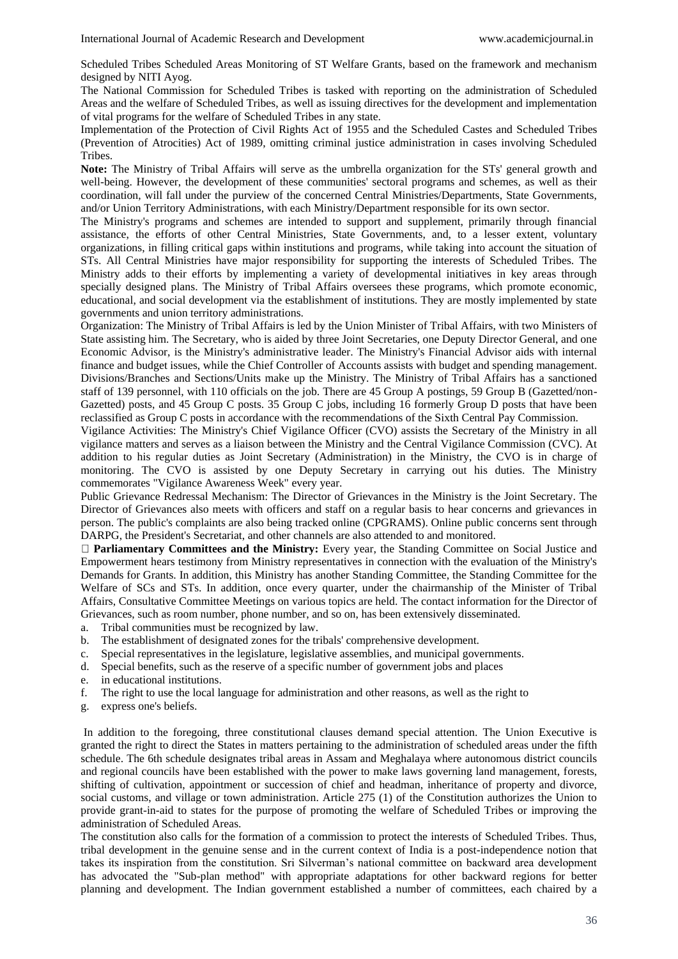Scheduled Tribes Scheduled Areas Monitoring of ST Welfare Grants, based on the framework and mechanism designed by NITI Ayog.

The National Commission for Scheduled Tribes is tasked with reporting on the administration of Scheduled Areas and the welfare of Scheduled Tribes, as well as issuing directives for the development and implementation of vital programs for the welfare of Scheduled Tribes in any state.

Implementation of the Protection of Civil Rights Act of 1955 and the Scheduled Castes and Scheduled Tribes (Prevention of Atrocities) Act of 1989, omitting criminal justice administration in cases involving Scheduled Tribes.

**Note:** The Ministry of Tribal Affairs will serve as the umbrella organization for the STs' general growth and well-being. However, the development of these communities' sectoral programs and schemes, as well as their coordination, will fall under the purview of the concerned Central Ministries/Departments, State Governments, and/or Union Territory Administrations, with each Ministry/Department responsible for its own sector.

The Ministry's programs and schemes are intended to support and supplement, primarily through financial assistance, the efforts of other Central Ministries, State Governments, and, to a lesser extent, voluntary organizations, in filling critical gaps within institutions and programs, while taking into account the situation of STs. All Central Ministries have major responsibility for supporting the interests of Scheduled Tribes. The Ministry adds to their efforts by implementing a variety of developmental initiatives in key areas through specially designed plans. The Ministry of Tribal Affairs oversees these programs, which promote economic, educational, and social development via the establishment of institutions. They are mostly implemented by state governments and union territory administrations.

Organization: The Ministry of Tribal Affairs is led by the Union Minister of Tribal Affairs, with two Ministers of State assisting him. The Secretary, who is aided by three Joint Secretaries, one Deputy Director General, and one Economic Advisor, is the Ministry's administrative leader. The Ministry's Financial Advisor aids with internal finance and budget issues, while the Chief Controller of Accounts assists with budget and spending management. Divisions/Branches and Sections/Units make up the Ministry. The Ministry of Tribal Affairs has a sanctioned staff of 139 personnel, with 110 officials on the job. There are 45 Group A postings, 59 Group B (Gazetted/non-Gazetted) posts, and 45 Group C posts. 35 Group C jobs, including 16 formerly Group D posts that have been reclassified as Group C posts in accordance with the recommendations of the Sixth Central Pay Commission.

Vigilance Activities: The Ministry's Chief Vigilance Officer (CVO) assists the Secretary of the Ministry in all vigilance matters and serves as a liaison between the Ministry and the Central Vigilance Commission (CVC). At addition to his regular duties as Joint Secretary (Administration) in the Ministry, the CVO is in charge of monitoring. The CVO is assisted by one Deputy Secretary in carrying out his duties. The Ministry commemorates "Vigilance Awareness Week" every year.

Public Grievance Redressal Mechanism: The Director of Grievances in the Ministry is the Joint Secretary. The Director of Grievances also meets with officers and staff on a regular basis to hear concerns and grievances in person. The public's complaints are also being tracked online (CPGRAMS). Online public concerns sent through DARPG, the President's Secretariat, and other channels are also attended to and monitored.

**Parliamentary Committees and the Ministry:** Every year, the Standing Committee on Social Justice and Empowerment hears testimony from Ministry representatives in connection with the evaluation of the Ministry's Demands for Grants. In addition, this Ministry has another Standing Committee, the Standing Committee for the Welfare of SCs and STs. In addition, once every quarter, under the chairmanship of the Minister of Tribal Affairs, Consultative Committee Meetings on various topics are held. The contact information for the Director of Grievances, such as room number, phone number, and so on, has been extensively disseminated.

- a. Tribal communities must be recognized by law.
- b. The establishment of designated zones for the tribals' comprehensive development.
- c. Special representatives in the legislature, legislative assemblies, and municipal governments.
- d. Special benefits, such as the reserve of a specific number of government jobs and places
- e. in educational institutions.
- f. The right to use the local language for administration and other reasons, as well as the right to
- g. express one's beliefs.

In addition to the foregoing, three constitutional clauses demand special attention. The Union Executive is granted the right to direct the States in matters pertaining to the administration of scheduled areas under the fifth schedule. The 6th schedule designates tribal areas in Assam and Meghalaya where autonomous district councils and regional councils have been established with the power to make laws governing land management, forests, shifting of cultivation, appointment or succession of chief and headman, inheritance of property and divorce, social customs, and village or town administration. Article 275 (1) of the Constitution authorizes the Union to provide grant-in-aid to states for the purpose of promoting the welfare of Scheduled Tribes or improving the administration of Scheduled Areas.

The constitution also calls for the formation of a commission to protect the interests of Scheduled Tribes. Thus, tribal development in the genuine sense and in the current context of India is a post-independence notion that takes its inspiration from the constitution. Sri Silverman's national committee on backward area development has advocated the "Sub-plan method" with appropriate adaptations for other backward regions for better planning and development. The Indian government established a number of committees, each chaired by a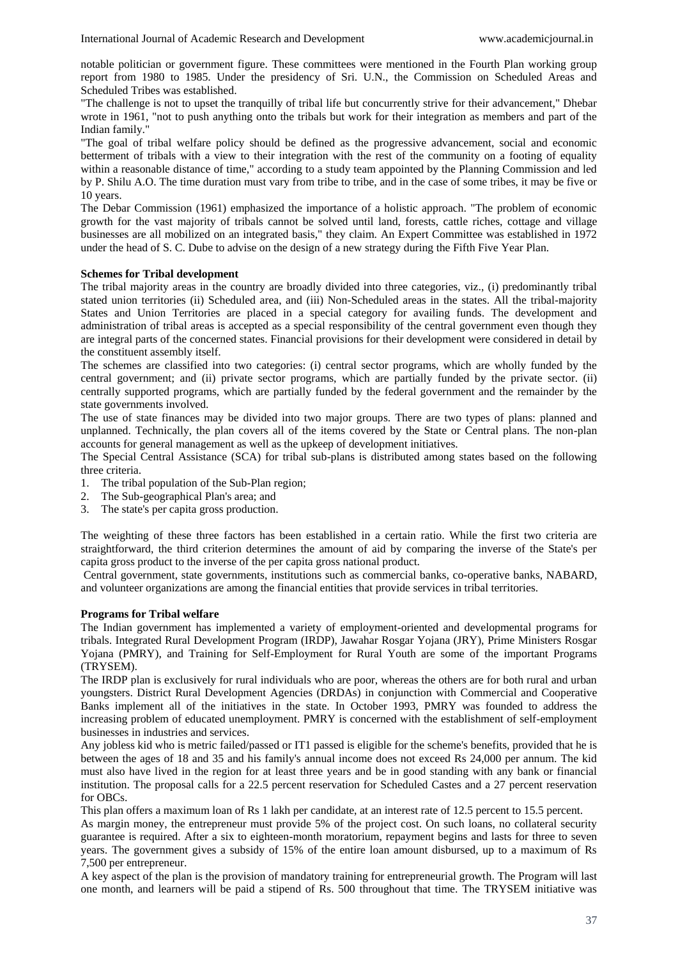notable politician or government figure. These committees were mentioned in the Fourth Plan working group report from 1980 to 1985. Under the presidency of Sri. U.N., the Commission on Scheduled Areas and Scheduled Tribes was established.

"The challenge is not to upset the tranquilly of tribal life but concurrently strive for their advancement," Dhebar wrote in 1961, "not to push anything onto the tribals but work for their integration as members and part of the Indian family."

"The goal of tribal welfare policy should be defined as the progressive advancement, social and economic betterment of tribals with a view to their integration with the rest of the community on a footing of equality within a reasonable distance of time," according to a study team appointed by the Planning Commission and led by P. Shilu A.O. The time duration must vary from tribe to tribe, and in the case of some tribes, it may be five or 10 years.

The Debar Commission (1961) emphasized the importance of a holistic approach. "The problem of economic growth for the vast majority of tribals cannot be solved until land, forests, cattle riches, cottage and village businesses are all mobilized on an integrated basis," they claim. An Expert Committee was established in 1972 under the head of S. C. Dube to advise on the design of a new strategy during the Fifth Five Year Plan.

#### **Schemes for Tribal development**

The tribal majority areas in the country are broadly divided into three categories, viz., (i) predominantly tribal stated union territories (ii) Scheduled area, and (iii) Non-Scheduled areas in the states. All the tribal-majority States and Union Territories are placed in a special category for availing funds. The development and administration of tribal areas is accepted as a special responsibility of the central government even though they are integral parts of the concerned states. Financial provisions for their development were considered in detail by the constituent assembly itself.

The schemes are classified into two categories: (i) central sector programs, which are wholly funded by the central government; and (ii) private sector programs, which are partially funded by the private sector. (ii) centrally supported programs, which are partially funded by the federal government and the remainder by the state governments involved.

The use of state finances may be divided into two major groups. There are two types of plans: planned and unplanned. Technically, the plan covers all of the items covered by the State or Central plans. The non-plan accounts for general management as well as the upkeep of development initiatives.

The Special Central Assistance (SCA) for tribal sub-plans is distributed among states based on the following three criteria.

- 1. The tribal population of the Sub-Plan region;
- 2. The Sub-geographical Plan's area; and
- 3. The state's per capita gross production.

The weighting of these three factors has been established in a certain ratio. While the first two criteria are straightforward, the third criterion determines the amount of aid by comparing the inverse of the State's per capita gross product to the inverse of the per capita gross national product.

Central government, state governments, institutions such as commercial banks, co-operative banks, NABARD, and volunteer organizations are among the financial entities that provide services in tribal territories.

#### **Programs for Tribal welfare**

The Indian government has implemented a variety of employment-oriented and developmental programs for tribals. Integrated Rural Development Program (IRDP), Jawahar Rosgar Yojana (JRY), Prime Ministers Rosgar Yojana (PMRY), and Training for Self-Employment for Rural Youth are some of the important Programs (TRYSEM).

The IRDP plan is exclusively for rural individuals who are poor, whereas the others are for both rural and urban youngsters. District Rural Development Agencies (DRDAs) in conjunction with Commercial and Cooperative Banks implement all of the initiatives in the state. In October 1993, PMRY was founded to address the increasing problem of educated unemployment. PMRY is concerned with the establishment of self-employment businesses in industries and services.

Any jobless kid who is metric failed/passed or IT1 passed is eligible for the scheme's benefits, provided that he is between the ages of 18 and 35 and his family's annual income does not exceed Rs 24,000 per annum. The kid must also have lived in the region for at least three years and be in good standing with any bank or financial institution. The proposal calls for a 22.5 percent reservation for Scheduled Castes and a 27 percent reservation for OBCs.

This plan offers a maximum loan of Rs 1 lakh per candidate, at an interest rate of 12.5 percent to 15.5 percent.

As margin money, the entrepreneur must provide 5% of the project cost. On such loans, no collateral security guarantee is required. After a six to eighteen-month moratorium, repayment begins and lasts for three to seven years. The government gives a subsidy of 15% of the entire loan amount disbursed, up to a maximum of Rs 7,500 per entrepreneur.

A key aspect of the plan is the provision of mandatory training for entrepreneurial growth. The Program will last one month, and learners will be paid a stipend of Rs. 500 throughout that time. The TRYSEM initiative was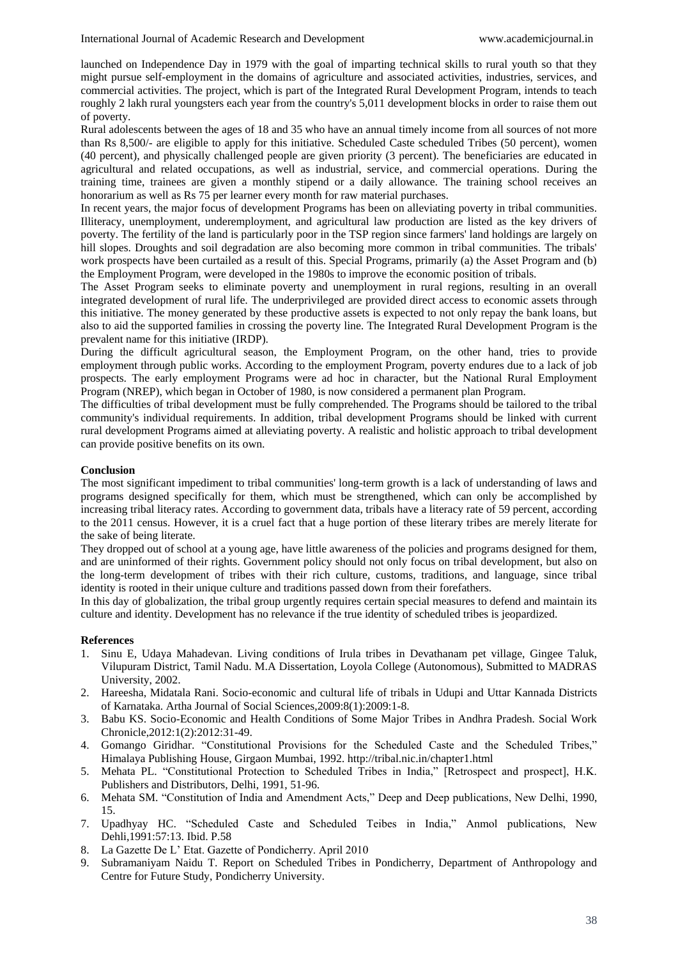launched on Independence Day in 1979 with the goal of imparting technical skills to rural youth so that they might pursue self-employment in the domains of agriculture and associated activities, industries, services, and commercial activities. The project, which is part of the Integrated Rural Development Program, intends to teach roughly 2 lakh rural youngsters each year from the country's 5,011 development blocks in order to raise them out of poverty.

Rural adolescents between the ages of 18 and 35 who have an annual timely income from all sources of not more than Rs 8,500/- are eligible to apply for this initiative. Scheduled Caste scheduled Tribes (50 percent), women (40 percent), and physically challenged people are given priority (3 percent). The beneficiaries are educated in agricultural and related occupations, as well as industrial, service, and commercial operations. During the training time, trainees are given a monthly stipend or a daily allowance. The training school receives an honorarium as well as Rs 75 per learner every month for raw material purchases.

In recent years, the major focus of development Programs has been on alleviating poverty in tribal communities. Illiteracy, unemployment, underemployment, and agricultural law production are listed as the key drivers of poverty. The fertility of the land is particularly poor in the TSP region since farmers' land holdings are largely on hill slopes. Droughts and soil degradation are also becoming more common in tribal communities. The tribals' work prospects have been curtailed as a result of this. Special Programs, primarily (a) the Asset Program and (b) the Employment Program, were developed in the 1980s to improve the economic position of tribals.

The Asset Program seeks to eliminate poverty and unemployment in rural regions, resulting in an overall integrated development of rural life. The underprivileged are provided direct access to economic assets through this initiative. The money generated by these productive assets is expected to not only repay the bank loans, but also to aid the supported families in crossing the poverty line. The Integrated Rural Development Program is the prevalent name for this initiative (IRDP).

During the difficult agricultural season, the Employment Program, on the other hand, tries to provide employment through public works. According to the employment Program, poverty endures due to a lack of job prospects. The early employment Programs were ad hoc in character, but the National Rural Employment Program (NREP), which began in October of 1980, is now considered a permanent plan Program.

The difficulties of tribal development must be fully comprehended. The Programs should be tailored to the tribal community's individual requirements. In addition, tribal development Programs should be linked with current rural development Programs aimed at alleviating poverty. A realistic and holistic approach to tribal development can provide positive benefits on its own.

## **Conclusion**

The most significant impediment to tribal communities' long-term growth is a lack of understanding of laws and programs designed specifically for them, which must be strengthened, which can only be accomplished by increasing tribal literacy rates. According to government data, tribals have a literacy rate of 59 percent, according to the 2011 census. However, it is a cruel fact that a huge portion of these literary tribes are merely literate for the sake of being literate.

They dropped out of school at a young age, have little awareness of the policies and programs designed for them, and are uninformed of their rights. Government policy should not only focus on tribal development, but also on the long-term development of tribes with their rich culture, customs, traditions, and language, since tribal identity is rooted in their unique culture and traditions passed down from their forefathers.

In this day of globalization, the tribal group urgently requires certain special measures to defend and maintain its culture and identity. Development has no relevance if the true identity of scheduled tribes is jeopardized.

### **References**

- 1. Sinu E, Udaya Mahadevan. Living conditions of Irula tribes in Devathanam pet village, Gingee Taluk, Vilupuram District, Tamil Nadu. M.A Dissertation, Loyola College (Autonomous), Submitted to MADRAS University, 2002.
- 2. Hareesha, Midatala Rani. Socio-economic and cultural life of tribals in Udupi and Uttar Kannada Districts of Karnataka. Artha Journal of Social Sciences,2009:8(1):2009:1-8.
- 3. Babu KS. Socio-Economic and Health Conditions of Some Major Tribes in Andhra Pradesh. Social Work Chronicle,2012:1(2):2012:31-49.
- 4. Gomango Giridhar. "Constitutional Provisions for the Scheduled Caste and the Scheduled Tribes," Himalaya Publishing House, Girgaon Mumbai, 1992. http://tribal.nic.in/chapter1.html
- 5. Mehata PL. "Constitutional Protection to Scheduled Tribes in India," [Retrospect and prospect], H.K. Publishers and Distributors, Delhi, 1991, 51-96.
- 6. Mehata SM. "Constitution of India and Amendment Acts," Deep and Deep publications, New Delhi, 1990, 15.
- 7. Upadhyay HC. "Scheduled Caste and Scheduled Teibes in India," Anmol publications, New Dehli,1991:57:13. Ibid. P.58
- 8. La Gazette De L' Etat. Gazette of Pondicherry. April 2010
- 9. Subramaniyam Naidu T. Report on Scheduled Tribes in Pondicherry, Department of Anthropology and Centre for Future Study, Pondicherry University.